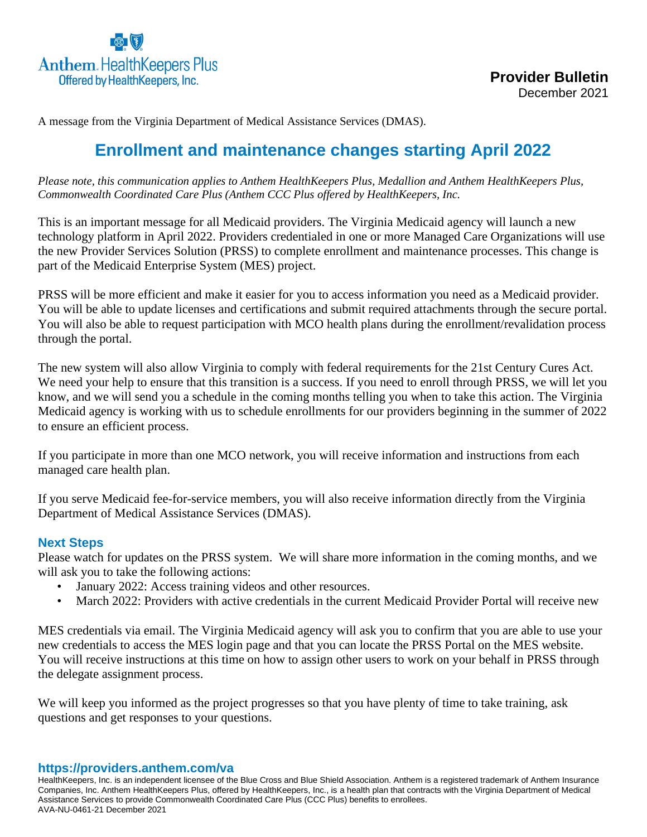

A message from the Virginia Department of Medical Assistance Services (DMAS).

## **Enrollment and maintenance changes starting April 2022**

*Please note, this communication applies to Anthem HealthKeepers Plus, Medallion and Anthem HealthKeepers Plus, Commonwealth Coordinated Care Plus (Anthem CCC Plus offered by HealthKeepers, Inc.*

This is an important message for all Medicaid providers. The Virginia Medicaid agency will launch a new technology platform in April 2022. Providers credentialed in one or more Managed Care Organizations will use the new Provider Services Solution (PRSS) to complete enrollment and maintenance processes. This change is part of the Medicaid Enterprise System (MES) project.

PRSS will be more efficient and make it easier for you to access information you need as a Medicaid provider. You will be able to update licenses and certifications and submit required attachments through the secure portal. You will also be able to request participation with MCO health plans during the enrollment/revalidation process through the portal.

The new system will also allow Virginia to comply with federal requirements for the 21st Century Cures Act. We need your help to ensure that this transition is a success. If you need to enroll through PRSS, we will let you know, and we will send you a schedule in the coming months telling you when to take this action. The Virginia Medicaid agency is working with us to schedule enrollments for our providers beginning in the summer of 2022 to ensure an efficient process.

If you participate in more than one MCO network, you will receive information and instructions from each managed care health plan.

If you serve Medicaid fee-for-service members, you will also receive information directly from the Virginia Department of Medical Assistance Services (DMAS).

## **Next Steps**

Please watch for updates on the PRSS system. We will share more information in the coming months, and we will ask you to take the following actions:

- January 2022: Access training videos and other resources.
- March 2022: Providers with active credentials in the current Medicaid Provider Portal will receive new

MES credentials via email. The Virginia Medicaid agency will ask you to confirm that you are able to use your new credentials to access the MES login page and that you can locate the PRSS Portal on the MES website. You will receive instructions at this time on how to assign other users to work on your behalf in PRSS through the delegate assignment process.

We will keep you informed as the project progresses so that you have plenty of time to take training, ask questions and get responses to your questions.

**https://providers.anthem.com/va**

HealthKeepers, Inc. is an independent licensee of the Blue Cross and Blue Shield Association. Anthem is a registered trademark of Anthem Insurance Companies, Inc. Anthem HealthKeepers Plus, offered by HealthKeepers, Inc., is a health plan that contracts with the Virginia Department of Medical Assistance Services to provide Commonwealth Coordinated Care Plus (CCC Plus) benefits to enrollees. AVA-NU-0461-21 December 2021